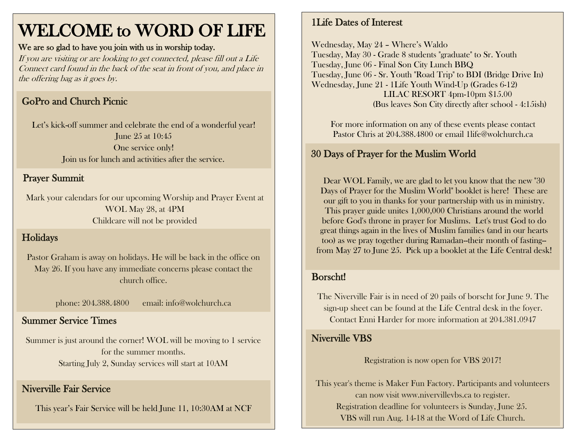# WELCOME to WORD OF LIFE

#### We are so glad to have you join with us in worship today.

If you are visiting or are looking to get connected, please fill out a Life Connect card found in the back of the seat in front of you, and place in the offering bag as it goes by.

## GoPro and Church Picnic

Let's kick-off summer and celebrate the end of a wonderful year! June 25 at 10:45 One service only! Join us for lunch and activities after the service.

#### Don't forget to bring your lawn chairs and blankets! Prayer Summit

Mark your calendars for our upcoming Worship and Prayer Event at WOL May 28, at 4PM Childcare will not be provided

# Holidays

Pastor Graham is away on holidays. He will be back in the office on May 26. If you have any immediate concerns please contact the church office.

phone: 204.388.4800 email: info@wolchurch.ca

#### **Summer Service Times**

Summer is just around the corner! WOL will be moving to 1 service for the summer months. Starting July 2, Sunday services will start at 10AM

#### Niverville Fair Service

This year's Fair Service will be held June 11, 10:30AM at NCF

#### 1Life Dates of Interest

Wednesday, May 24 – Where's Waldo Tuesday, May 30 - Grade 8 students "graduate" to Sr. Youth Tuesday, June 06 - Final Son City Lunch BBQ Tuesday, June 06 - Sr. Youth "Road Trip" to BDI (Bridge Drive In) Wednesday, June 21 - 1Life Youth Wind-Up (Grades 6-12) LILAC RESORT 4pm-10pm \$15.00 (Bus leaves Son City directly after school - 4:15ish)

For more information on any of these events please contact Pastor Chris at 204.388.4800 or email 1life@wolchurch.ca

### 30 Days of Prayer for the Muslim World

Dear WOL Family, we are glad to let you know that the new "30 Days of Prayer for the Muslim World" booklet is here! These are our gift to you in thanks for your partnership with us in ministry. This prayer guide unites 1,000,000 Christians around the world before God's throne in prayer for Muslims. Let's trust God to do great things again in the lives of Muslim families (and in our hearts too) as we pray together during Ramadan--their month of fasting- from May 27 to June 25. Pick up a booklet at the Life Central desk!

#### Borscht!

The Niverville Fair is in need of 20 pails of borscht for June 9. The sign-up sheet can be found at the Life Central desk in the foyer. Contact Enni Harder for more information at 204.381.0947

#### Niverville VBS

Registration is now open for VBS 2017!

This year's theme is Maker Fun Factory. Participants and volunteers can now visit www.nivervillevbs.ca to register. Registration deadline for volunteers is Sunday, June 25. VBS will run Aug. 14-18 at the Word of Life Church.